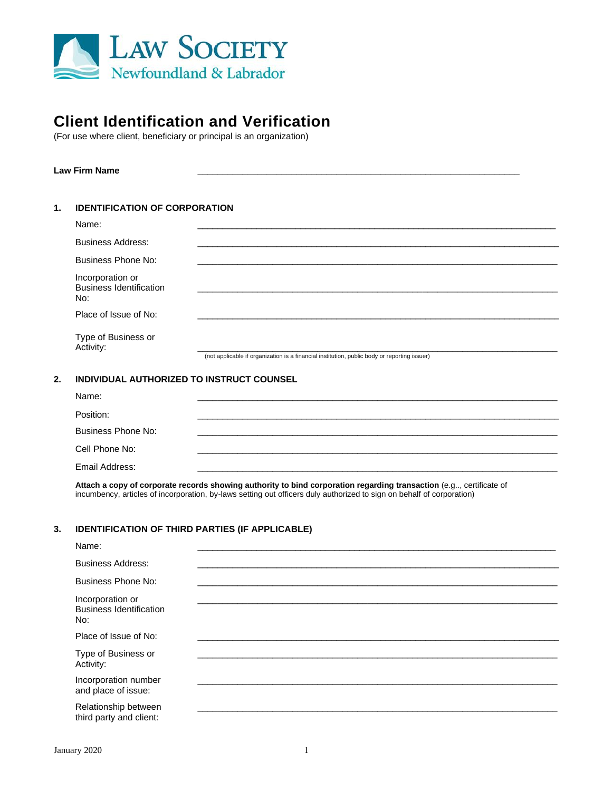

# **Client Identification and Verification**

(For use where client, beneficiary or principal is an organization)

## **Law Firm Name \_\_\_\_\_\_\_\_\_\_\_\_\_\_\_\_\_\_\_\_\_\_\_\_\_\_\_\_\_\_\_\_\_\_\_\_\_\_\_\_\_\_\_\_\_\_\_\_\_\_\_\_\_\_\_\_\_\_\_\_\_\_\_\_\_**

| 1. | <b>IDENTIFICATION OF CORPORATION</b> |
|----|--------------------------------------|
|    |                                      |

| Name:                                                     |                                                                                              |
|-----------------------------------------------------------|----------------------------------------------------------------------------------------------|
| <b>Business Address:</b>                                  |                                                                                              |
| Business Phone No:                                        |                                                                                              |
| Incorporation or<br><b>Business Identification</b><br>No: |                                                                                              |
| Place of Issue of No:                                     |                                                                                              |
| Type of Business or<br>Activity:                          | (not applicable if organization is a financial institution, public body or reporting issuer) |

## **2. INDIVIDUAL AUTHORIZED TO INSTRUCT COUNSEL**

| Name:              |  |
|--------------------|--|
| Position:          |  |
| Business Phone No: |  |
| Cell Phone No:     |  |
| Email Address:     |  |

Attach a copy of corporate records showing authority to bind corporation regarding transaction (e.g.., certificate of incumbency, articles of incorporation, by-laws setting out officers duly authorized to sign on behalf of corporation)

## **3. IDENTIFICATION OF THIRD PARTIES (IF APPLICABLE)**

| Name:                                                     |  |  |
|-----------------------------------------------------------|--|--|
| <b>Business Address:</b>                                  |  |  |
| Business Phone No:                                        |  |  |
| Incorporation or<br><b>Business Identification</b><br>No: |  |  |
| Place of Issue of No:                                     |  |  |
| Type of Business or<br>Activity:                          |  |  |
| Incorporation number<br>and place of issue:               |  |  |
| Relationship between<br>third party and client:           |  |  |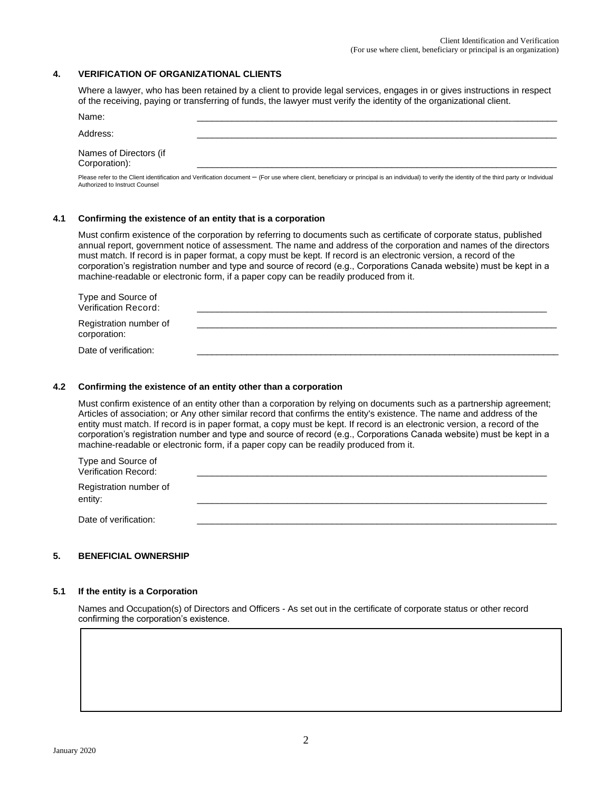# **4. VERIFICATION OF ORGANIZATIONAL CLIENTS**

Where a lawyer, who has been retained by a client to provide legal services, engages in or gives instructions in respect of the receiving, paying or transferring of funds, the lawyer must verify the identity of the organizational client.

| Name:                                   |  |
|-----------------------------------------|--|
| Address:                                |  |
| Names of Directors (if<br>Corporation): |  |

Please refer to the Client identification and Verification document – (For use where client, beneficiary or principal is an individual) to verify the identity of the third party or Individual Authorized to Instruct Counsel

#### **4.1 Confirming the existence of an entity that is a corporation**

Must confirm existence of the corporation by referring to documents such as certificate of corporate status, published annual report, government notice of assessment. The name and address of the corporation and names of the directors must match. If record is in paper format, a copy must be kept. If record is an electronic version, a record of the corporation's registration number and type and source of record (e.g., Corporations Canada website) must be kept in a machine-readable or electronic form, if a paper copy can be readily produced from it.

| Type and Source of<br>Verification Record: |  |
|--------------------------------------------|--|
| Registration number of<br>corporation:     |  |
| Date of verification:                      |  |

#### **4.2 Confirming the existence of an entity other than a corporation**

Must confirm existence of an entity other than a corporation by relying on documents such as a partnership agreement; Articles of association; or Any other similar record that confirms the entity's existence. The name and address of the entity must match. If record is in paper format, a copy must be kept. If record is an electronic version, a record of the corporation's registration number and type and source of record (e.g., Corporations Canada website) must be kept in a machine-readable or electronic form, if a paper copy can be readily produced from it.

| Type and Source of<br>Verification Record: |  |
|--------------------------------------------|--|
| Registration number of<br>entity:          |  |
| Date of verification:                      |  |

## **5. BENEFICIAL OWNERSHIP**

### **5.1 If the entity is a Corporation**

Names and Occupation(s) of Directors and Officers - As set out in the certificate of corporate status or other record confirming the corporation's existence.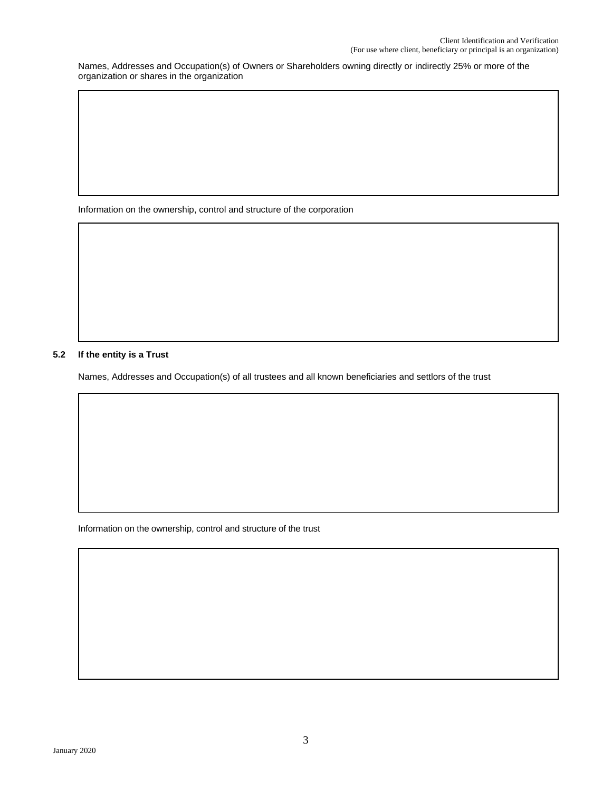Names, Addresses and Occupation(s) of Owners or Shareholders owning directly or indirectly 25% or more of the organization or shares in the organization

Information on the ownership, control and structure of the corporation

# **5.2 If the entity is a Trust**

Names, Addresses and Occupation(s) of all trustees and all known beneficiaries and settlors of the trust

Information on the ownership, control and structure of the trust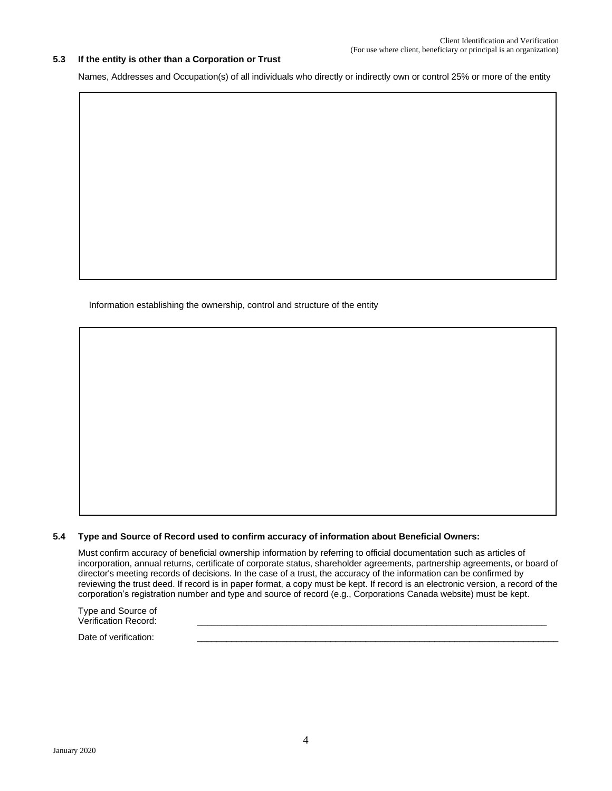#### **5.3 If the entity is other than a Corporation or Trust**

Names, Addresses and Occupation(s) of all individuals who directly or indirectly own or control 25% or more of the entity

Information establishing the ownership, control and structure of the entity

# **5.4 Type and Source of Record used to confirm accuracy of information about Beneficial Owners:**

Must confirm accuracy of beneficial ownership information by referring to official documentation such as articles of incorporation, annual returns, certificate of corporate status, shareholder agreements, partnership agreements, or board of director's meeting records of decisions. In the case of a trust, the accuracy of the information can be confirmed by reviewing the trust deed. If record is in paper format, a copy must be kept. If record is an electronic version, a record of the corporation's registration number and type and source of record (e.g., Corporations Canada website) must be kept.

Type and Source of Verification Record:

Date of verification: